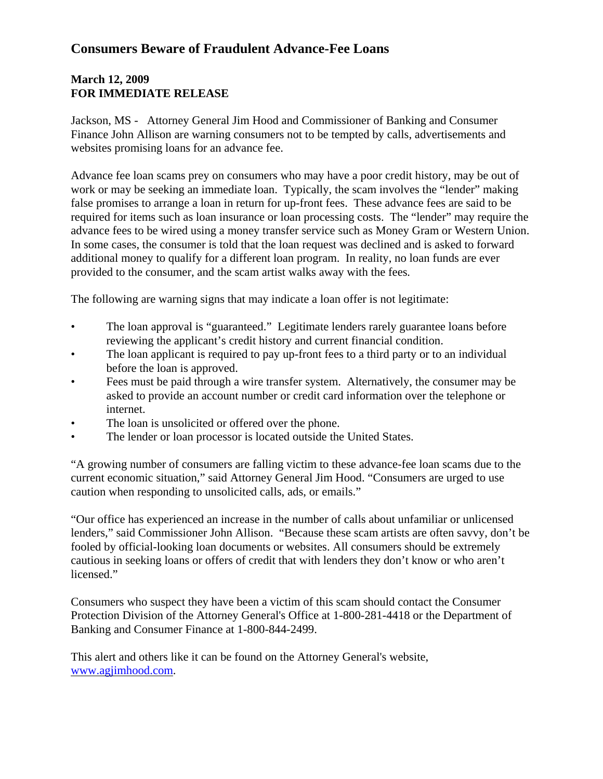## **Consumers Beware of Fraudulent Advance-Fee Loans**

## **March 12, 2009 FOR IMMEDIATE RELEASE**

Jackson, MS - Attorney General Jim Hood and Commissioner of Banking and Consumer Finance John Allison are warning consumers not to be tempted by calls, advertisements and websites promising loans for an advance fee.

Advance fee loan scams prey on consumers who may have a poor credit history, may be out of work or may be seeking an immediate loan. Typically, the scam involves the "lender" making false promises to arrange a loan in return for up-front fees. These advance fees are said to be required for items such as loan insurance or loan processing costs. The "lender" may require the advance fees to be wired using a money transfer service such as Money Gram or Western Union. In some cases, the consumer is told that the loan request was declined and is asked to forward additional money to qualify for a different loan program. In reality, no loan funds are ever provided to the consumer, and the scam artist walks away with the fees*.*

The following are warning signs that may indicate a loan offer is not legitimate:

- The loan approval is "guaranteed." Legitimate lenders rarely guarantee loans before reviewing the applicant's credit history and current financial condition.
- The loan applicant is required to pay up-front fees to a third party or to an individual before the loan is approved.
- Fees must be paid through a wire transfer system. Alternatively, the consumer may be asked to provide an account number or credit card information over the telephone or internet.
- The loan is unsolicited or offered over the phone.
- The lender or loan processor is located outside the United States.

"A growing number of consumers are falling victim to these advance-fee loan scams due to the current economic situation," said Attorney General Jim Hood. "Consumers are urged to use caution when responding to unsolicited calls, ads, or emails."

"Our office has experienced an increase in the number of calls about unfamiliar or unlicensed lenders," said Commissioner John Allison. "Because these scam artists are often savvy, don't be fooled by official-looking loan documents or websites. All consumers should be extremely cautious in seeking loans or offers of credit that with lenders they don't know or who aren't licensed."

Consumers who suspect they have been a victim of this scam should contact the Consumer Protection Division of the Attorney General's Office at 1-800-281-4418 or the Department of Banking and Consumer Finance at 1-800-844-2499.

This alert and others like it can be found on the Attorney General's website, www.agjimhood.com.